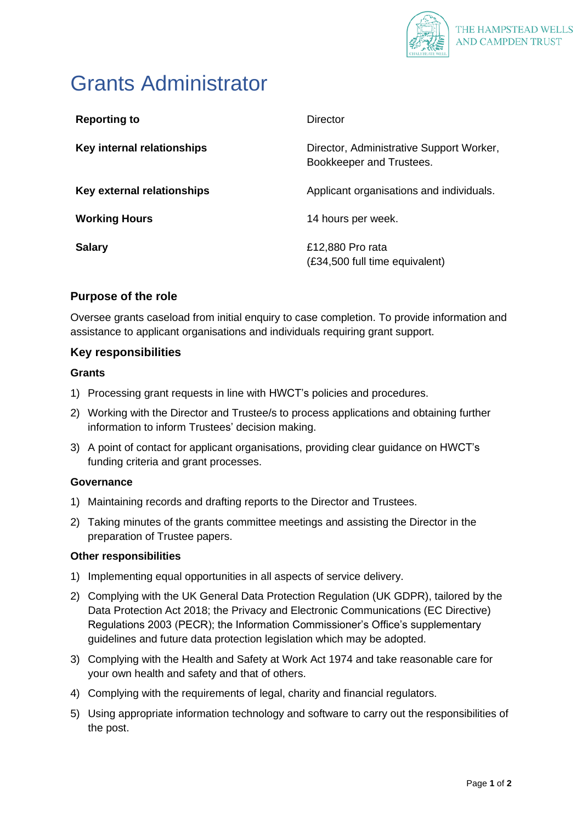

# Grants Administrator

| <b>Reporting to</b>        | Director                                                             |
|----------------------------|----------------------------------------------------------------------|
| Key internal relationships | Director, Administrative Support Worker,<br>Bookkeeper and Trustees. |
| Key external relationships | Applicant organisations and individuals.                             |
| <b>Working Hours</b>       | 14 hours per week.                                                   |
| <b>Salary</b>              | £12,880 Pro rata<br>(£34,500 full time equivalent)                   |

# **Purpose of the role**

Oversee grants caseload from initial enquiry to case completion. To provide information and assistance to applicant organisations and individuals requiring grant support.

## **Key responsibilities**

#### **Grants**

- 1) Processing grant requests in line with HWCT's policies and procedures.
- 2) Working with the Director and Trustee/s to process applications and obtaining further information to inform Trustees' decision making.
- 3) A point of contact for applicant organisations, providing clear guidance on HWCT's funding criteria and grant processes.

#### **Governance**

- 1) Maintaining records and drafting reports to the Director and Trustees.
- 2) Taking minutes of the grants committee meetings and assisting the Director in the preparation of Trustee papers.

#### **Other responsibilities**

- 1) Implementing equal opportunities in all aspects of service delivery.
- 2) Complying with the UK General Data Protection Regulation (UK GDPR), tailored by the Data Protection Act 2018; the Privacy and Electronic Communications (EC Directive) Regulations 2003 (PECR); the Information Commissioner's Office's supplementary guidelines and future data protection legislation which may be adopted.
- 3) Complying with the Health and Safety at Work Act 1974 and take reasonable care for your own health and safety and that of others.
- 4) Complying with the requirements of legal, charity and financial regulators.
- 5) Using appropriate information technology and software to carry out the responsibilities of the post.